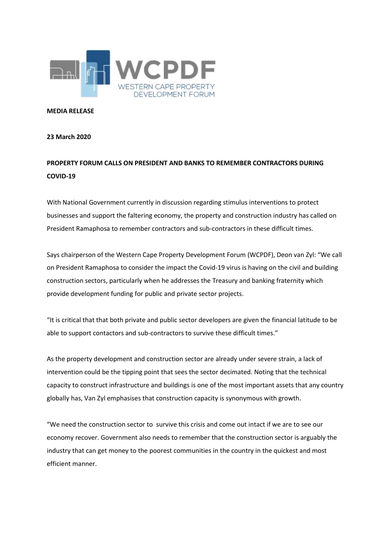

**MEDIA RELEASE**

## **23 March 2020**

## **PROPERTY FORUM CALLS ON PRESIDENT AND BANKS TO REMEMBER CONTRACTORS DURING COVID-19**

With National Government currently in discussion regarding stimulus interventions to protect businesses and support the faltering economy, the property and construction industry has called on President Ramaphosa to remember contractors and sub-contractors in these difficult times.

Says chairperson of the Western Cape Property Development Forum (WCPDF), Deon van Zyl: "We call on President Ramaphosa to consider the impact the Covid-19 virus is having on the civil and building construction sectors, particularly when he addresses the Treasury and banking fraternity which provide development funding for public and private sector projects.

"It is critical that that both private and public sector developers are given the financial latitude to be able to support contactors and sub-contractors to survive these difficult times."

As the property development and construction sector are already under severe strain, a lack of intervention could be the tipping point that sees the sector decimated. Noting that the technical capacity to construct infrastructure and buildings is one of the most important assets that any country globally has, Van Zyl emphasises that construction capacity is synonymous with growth.

"We need the construction sector to survive this crisis and come out intact if we are to see our economy recover. Government also needs to remember that the construction sector is arguably the industry that can get money to the poorest communities in the country in the quickest and most efficient manner.